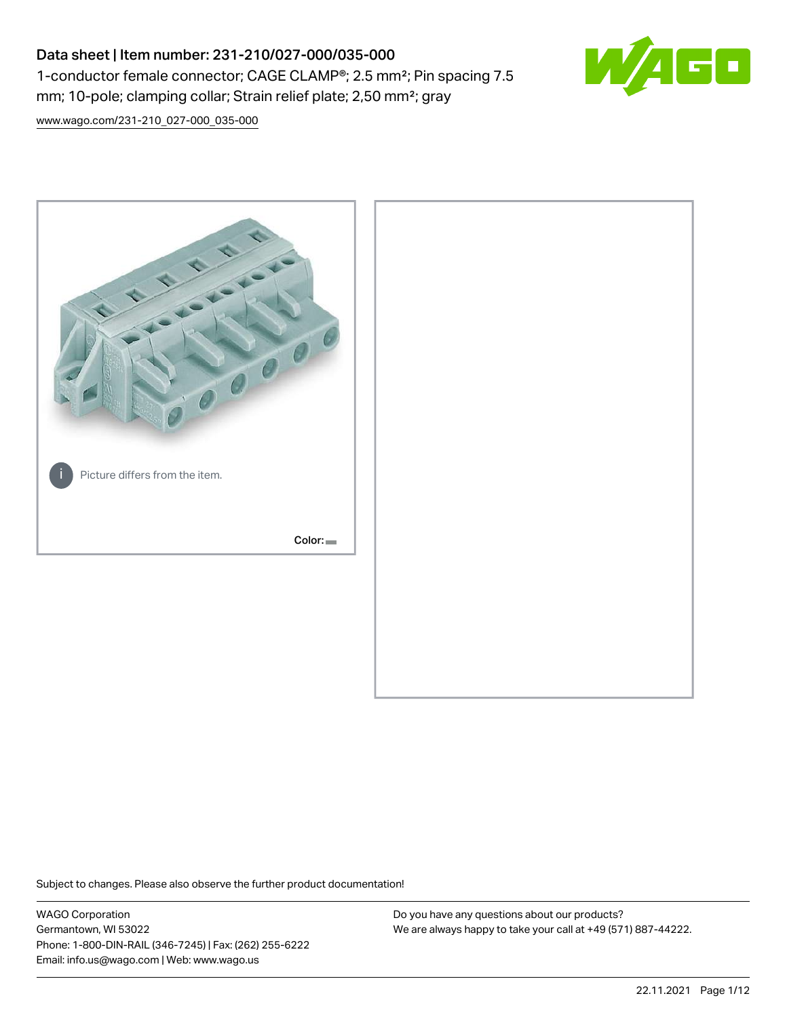# Data sheet | Item number: 231-210/027-000/035-000 1-conductor female connector; CAGE CLAMP®; 2.5 mm²; Pin spacing 7.5 mm; 10-pole; clamping collar; Strain relief plate; 2,50 mm²; gray



[www.wago.com/231-210\\_027-000\\_035-000](http://www.wago.com/231-210_027-000_035-000)



Subject to changes. Please also observe the further product documentation!

WAGO Corporation Germantown, WI 53022 Phone: 1-800-DIN-RAIL (346-7245) | Fax: (262) 255-6222 Email: info.us@wago.com | Web: www.wago.us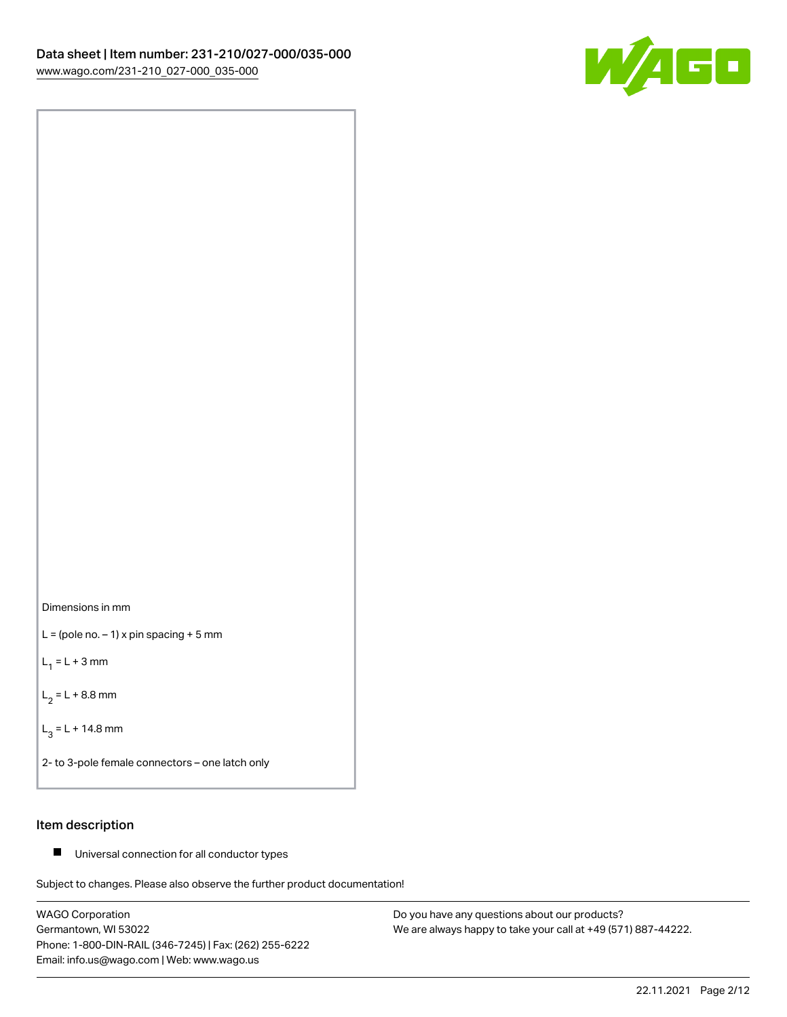



 $L =$  (pole no.  $-1$ ) x pin spacing + 5 mm

 $L_1 = L + 3$  mm

 $L_2 = L + 8.8$  mm

 $L_3 = L + 14.8$  mm

2- to 3-pole female connectors – one latch only

## Item description

■ Universal connection for all conductor types

Subject to changes. Please also observe the further product documentation!

WAGO Corporation Germantown, WI 53022 Phone: 1-800-DIN-RAIL (346-7245) | Fax: (262) 255-6222 Email: info.us@wago.com | Web: www.wago.us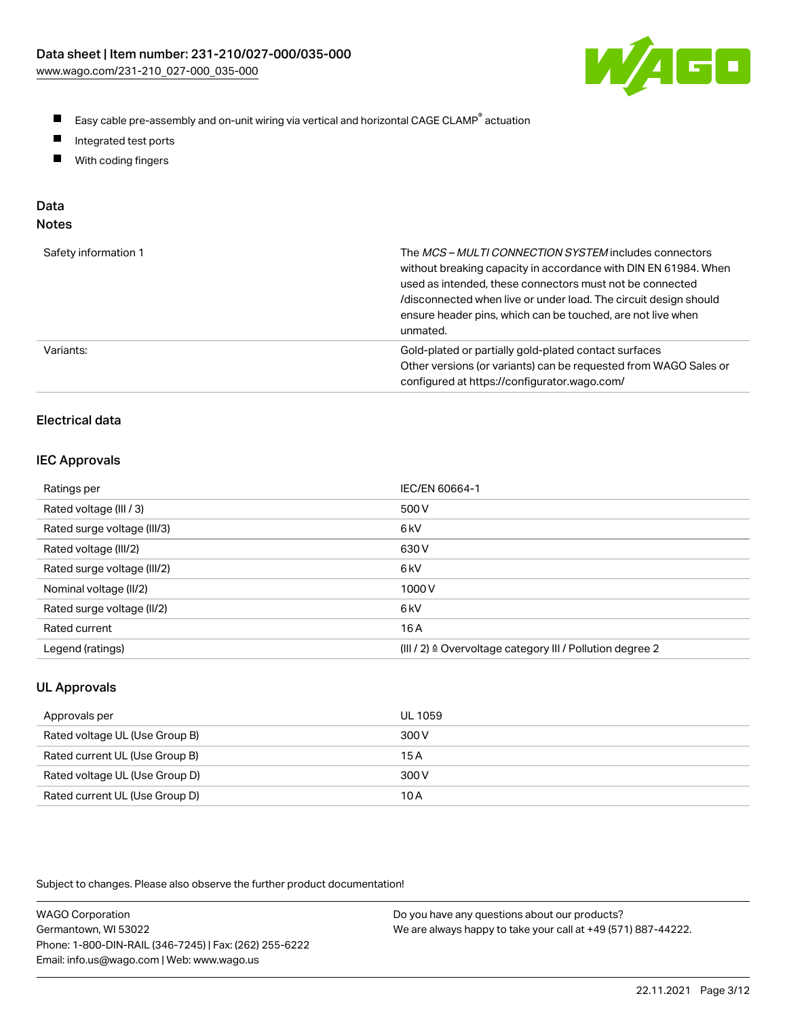

- $\blacksquare$ Easy cable pre-assembly and on-unit wiring via vertical and horizontal CAGE CLAMP<sup>®</sup> actuation
- $\blacksquare$ Integrated test ports
- $\blacksquare$ With coding fingers

# Data

| M.<br>×<br>×<br>۰,<br>۹<br>٠ |
|------------------------------|
|------------------------------|

| Safety information 1 | The MCS-MULTI CONNECTION SYSTEM includes connectors<br>without breaking capacity in accordance with DIN EN 61984. When<br>used as intended, these connectors must not be connected<br>/disconnected when live or under load. The circuit design should<br>ensure header pins, which can be touched, are not live when<br>unmated. |
|----------------------|-----------------------------------------------------------------------------------------------------------------------------------------------------------------------------------------------------------------------------------------------------------------------------------------------------------------------------------|
| Variants:            | Gold-plated or partially gold-plated contact surfaces<br>Other versions (or variants) can be requested from WAGO Sales or<br>configured at https://configurator.wago.com/                                                                                                                                                         |

# Electrical data

### IEC Approvals

| Ratings per                 | IEC/EN 60664-1                                                        |
|-----------------------------|-----------------------------------------------------------------------|
| Rated voltage (III / 3)     | 500 V                                                                 |
| Rated surge voltage (III/3) | 6 <sub>k</sub> V                                                      |
| Rated voltage (III/2)       | 630 V                                                                 |
| Rated surge voltage (III/2) | 6 <sub>k</sub> V                                                      |
| Nominal voltage (II/2)      | 1000V                                                                 |
| Rated surge voltage (II/2)  | 6 <sub>k</sub> V                                                      |
| Rated current               | 16 A                                                                  |
| Legend (ratings)            | $(III / 2)$ $\triangle$ Overvoltage category III / Pollution degree 2 |

## UL Approvals

| Approvals per                  | UL 1059 |
|--------------------------------|---------|
| Rated voltage UL (Use Group B) | 300 V   |
| Rated current UL (Use Group B) | 15 A    |
| Rated voltage UL (Use Group D) | 300 V   |
| Rated current UL (Use Group D) | 10 A    |

Subject to changes. Please also observe the further product documentation!

| <b>WAGO Corporation</b>                                | Do you have any questions about our products?                 |
|--------------------------------------------------------|---------------------------------------------------------------|
| Germantown, WI 53022                                   | We are always happy to take your call at +49 (571) 887-44222. |
| Phone: 1-800-DIN-RAIL (346-7245)   Fax: (262) 255-6222 |                                                               |
| Email: info.us@wago.com   Web: www.wago.us             |                                                               |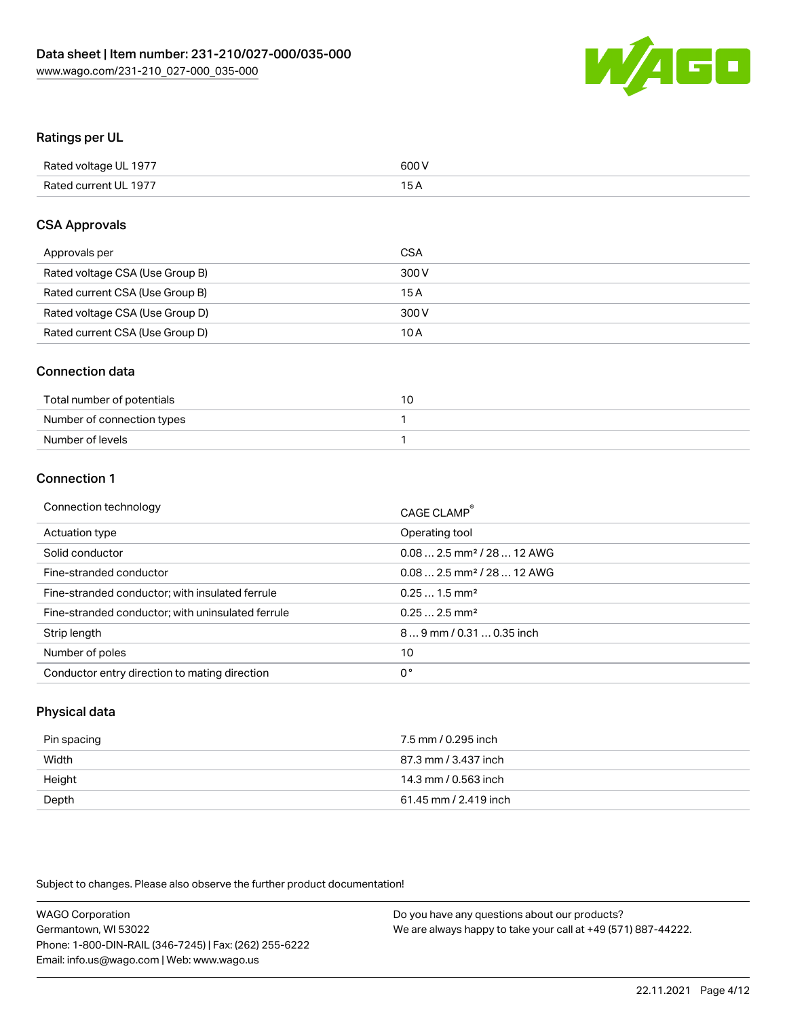

## Ratings per UL

| Rated voltage UL 1977 | 600 V           |
|-----------------------|-----------------|
| Rated current UL 1977 | 15 <sub>A</sub> |

## CSA Approvals

| Approvals per                   | CSA   |
|---------------------------------|-------|
| Rated voltage CSA (Use Group B) | 300 V |
| Rated current CSA (Use Group B) | 15A   |
| Rated voltage CSA (Use Group D) | 300 V |
| Rated current CSA (Use Group D) | 10 A  |

## Connection data

| Total number of potentials |  |
|----------------------------|--|
| Number of connection types |  |
| Number of levels           |  |

## Connection 1

| Operating tool<br>Actuation type<br>$0.082.5$ mm <sup>2</sup> / 28  12 AWG<br>Solid conductor<br>Fine-stranded conductor<br>$0.082.5$ mm <sup>2</sup> / 28  12 AWG<br>Fine-stranded conductor; with insulated ferrule<br>$0.251.5$ mm <sup>2</sup><br>$0.252.5$ mm <sup>2</sup><br>Fine-stranded conductor; with uninsulated ferrule<br>$89$ mm $/$ 0.31  0.35 inch<br>Strip length<br>Number of poles<br>10<br>0°<br>Conductor entry direction to mating direction | Connection technology | CAGE CLAMP® |
|---------------------------------------------------------------------------------------------------------------------------------------------------------------------------------------------------------------------------------------------------------------------------------------------------------------------------------------------------------------------------------------------------------------------------------------------------------------------|-----------------------|-------------|
|                                                                                                                                                                                                                                                                                                                                                                                                                                                                     |                       |             |
|                                                                                                                                                                                                                                                                                                                                                                                                                                                                     |                       |             |
|                                                                                                                                                                                                                                                                                                                                                                                                                                                                     |                       |             |
|                                                                                                                                                                                                                                                                                                                                                                                                                                                                     |                       |             |
|                                                                                                                                                                                                                                                                                                                                                                                                                                                                     |                       |             |
|                                                                                                                                                                                                                                                                                                                                                                                                                                                                     |                       |             |
|                                                                                                                                                                                                                                                                                                                                                                                                                                                                     |                       |             |
|                                                                                                                                                                                                                                                                                                                                                                                                                                                                     |                       |             |

## Physical data

| Pin spacing | 7.5 mm / 0.295 inch   |
|-------------|-----------------------|
| Width       | 87.3 mm / 3.437 inch  |
| Height      | 14.3 mm / 0.563 inch  |
| Depth       | 61.45 mm / 2.419 inch |

Subject to changes. Please also observe the further product documentation!

| <b>WAGO Corporation</b>                                | Do you have any questions about our products?                 |
|--------------------------------------------------------|---------------------------------------------------------------|
| Germantown, WI 53022                                   | We are always happy to take your call at +49 (571) 887-44222. |
| Phone: 1-800-DIN-RAIL (346-7245)   Fax: (262) 255-6222 |                                                               |
| Email: info.us@wago.com   Web: www.wago.us             |                                                               |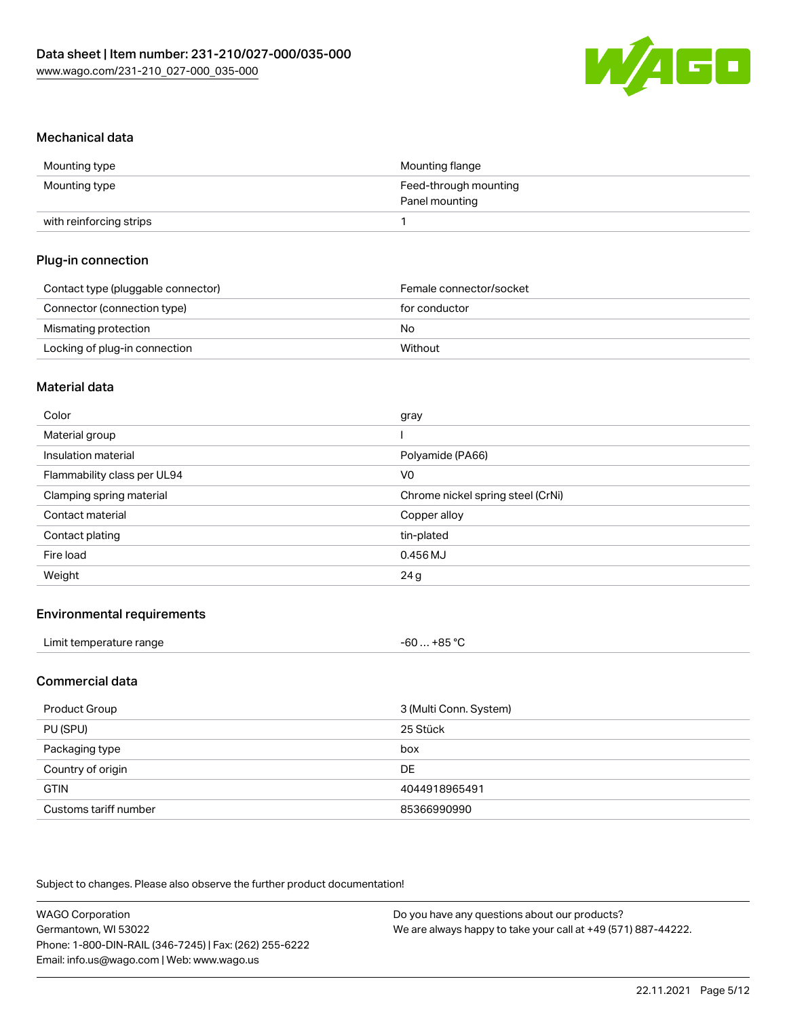

### Mechanical data

| Mounting type           | Mounting flange       |
|-------------------------|-----------------------|
| Mounting type           | Feed-through mounting |
|                         | Panel mounting        |
| with reinforcing strips |                       |

#### Plug-in connection

| Contact type (pluggable connector) | Female connector/socket |
|------------------------------------|-------------------------|
| Connector (connection type)        | for conductor           |
| Mismating protection               | No.                     |
| Locking of plug-in connection      | Without                 |

#### Material data

| Color                       | gray                              |
|-----------------------------|-----------------------------------|
| Material group              |                                   |
| Insulation material         | Polyamide (PA66)                  |
| Flammability class per UL94 | V <sub>0</sub>                    |
| Clamping spring material    | Chrome nickel spring steel (CrNi) |
| Contact material            | Copper alloy                      |
| Contact plating             | tin-plated                        |
| Fire load                   | 0.456 MJ                          |
| Weight                      | 24g                               |

## Environmental requirements

| Limit temperature range | . +85 ° <sup>∩</sup><br>-60 |
|-------------------------|-----------------------------|
|-------------------------|-----------------------------|

#### Commercial data

| Product Group         | 3 (Multi Conn. System) |
|-----------------------|------------------------|
| PU (SPU)              | 25 Stück               |
| Packaging type        | box                    |
| Country of origin     | <b>DE</b>              |
| <b>GTIN</b>           | 4044918965491          |
| Customs tariff number | 85366990990            |

Subject to changes. Please also observe the further product documentation!

| <b>WAGO Corporation</b>                                | Do you have any questions about our products?                 |
|--------------------------------------------------------|---------------------------------------------------------------|
| Germantown, WI 53022                                   | We are always happy to take your call at +49 (571) 887-44222. |
| Phone: 1-800-DIN-RAIL (346-7245)   Fax: (262) 255-6222 |                                                               |
| Email: info.us@wago.com   Web: www.wago.us             |                                                               |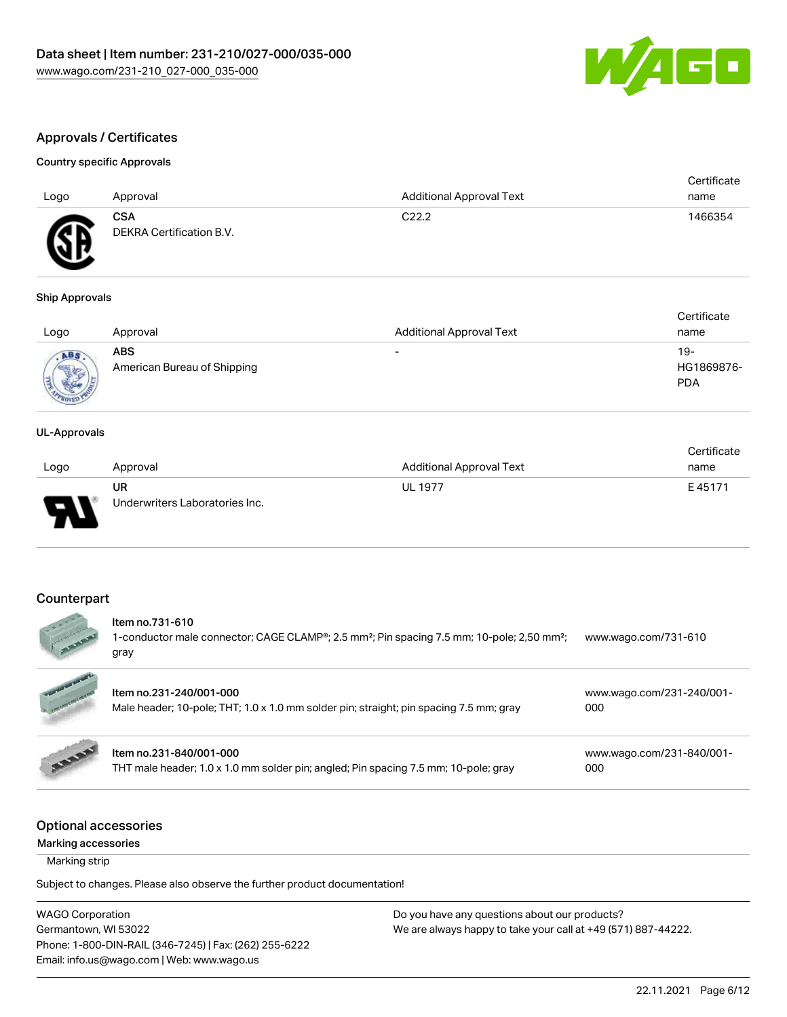

## Approvals / Certificates

#### Country specific Approvals

| Logo             | Approval                               | <b>Additional Approval Text</b> | Certificate<br>name |
|------------------|----------------------------------------|---------------------------------|---------------------|
| <b>R</b><br>سمعد | <b>CSA</b><br>DEKRA Certification B.V. | C <sub>22.2</sub>               | 1466354             |

#### Ship Approvals

| Logo | Approval                                  | <b>Additional Approval Text</b> | Certificate<br>name             |
|------|-------------------------------------------|---------------------------------|---------------------------------|
|      | <b>ABS</b><br>American Bureau of Shipping | $\overline{\phantom{0}}$        | 19-<br>HG1869876-<br><b>PDA</b> |

#### UL-Approvals

|                |                                |                          | Certificate |
|----------------|--------------------------------|--------------------------|-------------|
| Logo           | Approval                       | Additional Approval Text | name        |
|                | UR                             | <b>UL 1977</b>           | E45171      |
| $\blacksquare$ | Underwriters Laboratories Inc. |                          |             |

#### Counterpart

 $\sim$ 

 $\overline{a}$ 

# Item no.731-610

1-conductor male connector; CAGE CLAMP®; 2.5 mm²; Pin spacing 7.5 mm; 10-pole; 2,50 mm²; gray [www.wago.com/731-610](https://www.wago.com/731-610)

|              | Item no.231-240/001-000<br>Male header; 10-pole; THT; 1.0 x 1.0 mm solder pin; straight; pin spacing 7.5 mm; gray | www.wago.com/231-240/001-<br>000 |
|--------------|-------------------------------------------------------------------------------------------------------------------|----------------------------------|
| <b>BARRY</b> | Item no.231-840/001-000<br>THT male header; 1.0 x 1.0 mm solder pin; angled; Pin spacing 7.5 mm; 10-pole; gray    | www.wago.com/231-840/001-<br>000 |

## Optional accessories

Marking accessories

Marking strip

Subject to changes. Please also observe the further product documentation!

WAGO Corporation Germantown, WI 53022 Phone: 1-800-DIN-RAIL (346-7245) | Fax: (262) 255-6222 Email: info.us@wago.com | Web: www.wago.us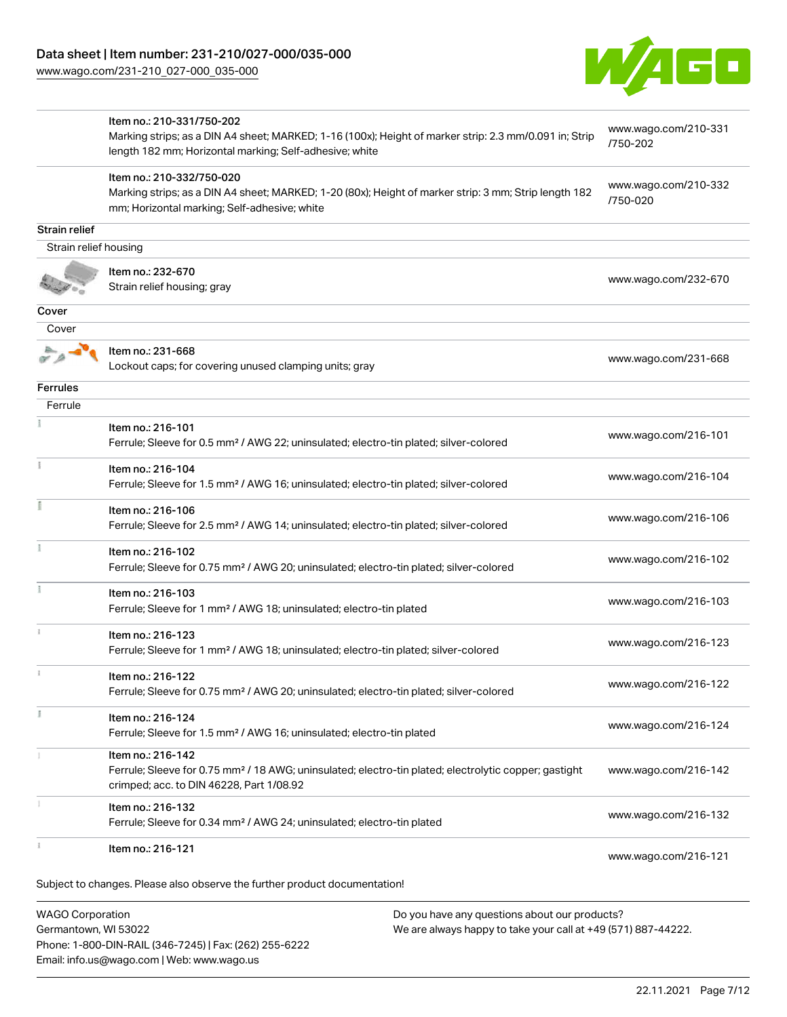Phone: 1-800-DIN-RAIL (346-7245) | Fax: (262) 255-6222

Email: info.us@wago.com | Web: www.wago.us



|                         | Item no.: 210-331/750-202                                                                                         | www.wago.com/210-331             |
|-------------------------|-------------------------------------------------------------------------------------------------------------------|----------------------------------|
|                         | Marking strips; as a DIN A4 sheet; MARKED; 1-16 (100x); Height of marker strip: 2.3 mm/0.091 in; Strip            | /750-202                         |
|                         | length 182 mm; Horizontal marking; Self-adhesive; white                                                           |                                  |
|                         | Item no.: 210-332/750-020                                                                                         |                                  |
|                         | Marking strips; as a DIN A4 sheet; MARKED; 1-20 (80x); Height of marker strip: 3 mm; Strip length 182             | www.wago.com/210-332<br>/750-020 |
|                         | mm; Horizontal marking; Self-adhesive; white                                                                      |                                  |
| Strain relief           |                                                                                                                   |                                  |
| Strain relief housing   |                                                                                                                   |                                  |
|                         | Item no.: 232-670                                                                                                 |                                  |
|                         | Strain relief housing; gray                                                                                       | www.wago.com/232-670             |
|                         |                                                                                                                   |                                  |
| Cover                   |                                                                                                                   |                                  |
| Cover                   |                                                                                                                   |                                  |
|                         | Item no.: 231-668                                                                                                 | www.wago.com/231-668             |
|                         | Lockout caps; for covering unused clamping units; gray                                                            |                                  |
| <b>Ferrules</b>         |                                                                                                                   |                                  |
| Ferrule                 |                                                                                                                   |                                  |
|                         | Item no.: 216-101                                                                                                 |                                  |
|                         | Ferrule; Sleeve for 0.5 mm <sup>2</sup> / AWG 22; uninsulated; electro-tin plated; silver-colored                 | www.wago.com/216-101             |
|                         |                                                                                                                   |                                  |
|                         | Item no.: 216-104                                                                                                 | www.wago.com/216-104             |
|                         | Ferrule; Sleeve for 1.5 mm <sup>2</sup> / AWG 16; uninsulated; electro-tin plated; silver-colored                 |                                  |
|                         | Item no.: 216-106                                                                                                 |                                  |
|                         | Ferrule; Sleeve for 2.5 mm <sup>2</sup> / AWG 14; uninsulated; electro-tin plated; silver-colored                 | www.wago.com/216-106             |
|                         | Item no.: 216-102                                                                                                 |                                  |
|                         | Ferrule; Sleeve for 0.75 mm <sup>2</sup> / AWG 20; uninsulated; electro-tin plated; silver-colored                | www.wago.com/216-102             |
|                         |                                                                                                                   |                                  |
|                         | Item no.: 216-103                                                                                                 | www.wago.com/216-103             |
|                         | Ferrule; Sleeve for 1 mm <sup>2</sup> / AWG 18; uninsulated; electro-tin plated                                   |                                  |
|                         | Item no.: 216-123                                                                                                 |                                  |
|                         | Ferrule; Sleeve for 1 mm <sup>2</sup> / AWG 18; uninsulated; electro-tin plated; silver-colored                   | www.wago.com/216-123             |
|                         |                                                                                                                   |                                  |
|                         | Item no.: 216-122                                                                                                 | www.wago.com/216-122             |
|                         | Ferrule; Sleeve for 0.75 mm <sup>2</sup> / AWG 20; uninsulated; electro-tin plated; silver-colored                |                                  |
|                         | Item no.: 216-124                                                                                                 |                                  |
|                         | Ferrule; Sleeve for 1.5 mm <sup>2</sup> / AWG 16; uninsulated; electro-tin plated                                 | www.wago.com/216-124             |
|                         | Item no.: 216-142                                                                                                 |                                  |
|                         | Ferrule; Sleeve for 0.75 mm <sup>2</sup> / 18 AWG; uninsulated; electro-tin plated; electrolytic copper; gastight | www.wago.com/216-142             |
|                         | crimped; acc. to DIN 46228, Part 1/08.92                                                                          |                                  |
|                         | Item no.: 216-132                                                                                                 |                                  |
|                         | Ferrule; Sleeve for 0.34 mm <sup>2</sup> / AWG 24; uninsulated; electro-tin plated                                | www.wago.com/216-132             |
|                         |                                                                                                                   |                                  |
|                         | Item no.: 216-121                                                                                                 | www.wago.com/216-121             |
|                         |                                                                                                                   |                                  |
|                         | Subject to changes. Please also observe the further product documentation!                                        |                                  |
| <b>WAGO Corporation</b> | Do you have any questions about our products?                                                                     |                                  |
| Germantown, WI 53022    | We are always happy to take your call at +49 (571) 887-44222.                                                     |                                  |
|                         |                                                                                                                   |                                  |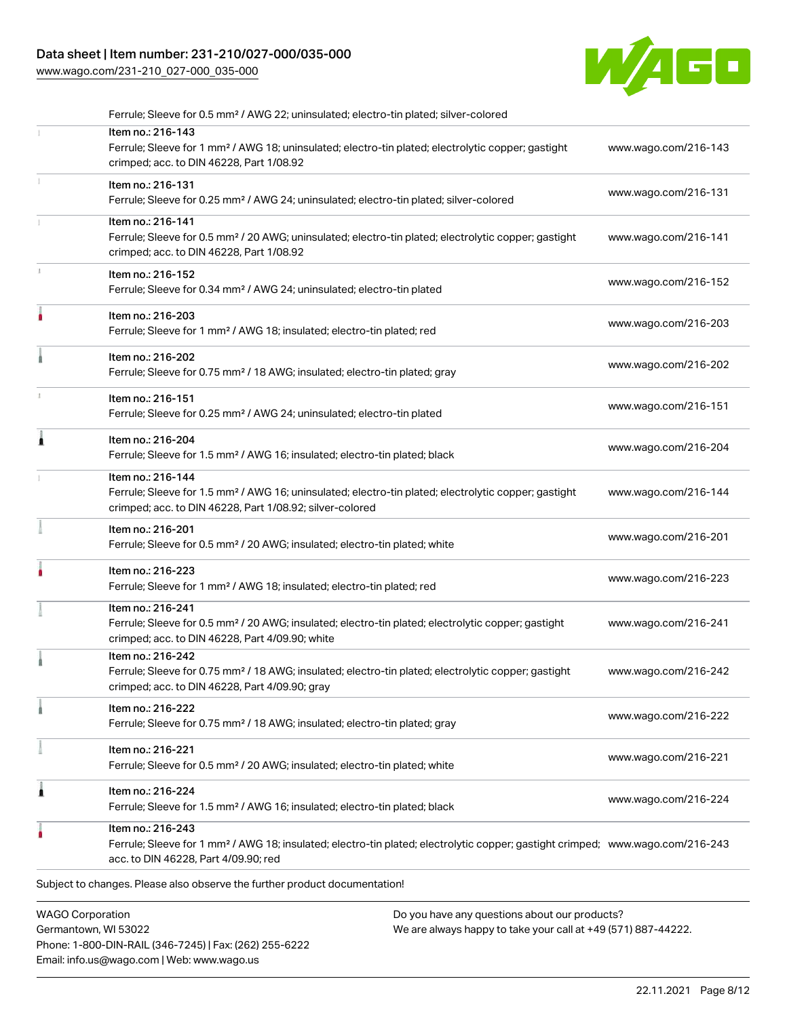## Data sheet | Item number: 231-210/027-000/035-000

Phone: 1-800-DIN-RAIL (346-7245) | Fax: (262) 255-6222

Email: info.us@wago.com | Web: www.wago.us

[www.wago.com/231-210\\_027-000\\_035-000](http://www.wago.com/231-210_027-000_035-000)



|                                                 | Ferrule; Sleeve for 0.5 mm <sup>2</sup> / AWG 22; uninsulated; electro-tin plated; silver-colored                                                                                                       |                                                                                                                |                      |
|-------------------------------------------------|---------------------------------------------------------------------------------------------------------------------------------------------------------------------------------------------------------|----------------------------------------------------------------------------------------------------------------|----------------------|
|                                                 | Item no.: 216-143<br>Ferrule; Sleeve for 1 mm <sup>2</sup> / AWG 18; uninsulated; electro-tin plated; electrolytic copper; gastight<br>crimped; acc. to DIN 46228, Part 1/08.92                         |                                                                                                                | www.wago.com/216-143 |
|                                                 | Item no.: 216-131<br>Ferrule; Sleeve for 0.25 mm <sup>2</sup> / AWG 24; uninsulated; electro-tin plated; silver-colored                                                                                 |                                                                                                                | www.wago.com/216-131 |
|                                                 | Item no.: 216-141<br>Ferrule; Sleeve for 0.5 mm <sup>2</sup> / 20 AWG; uninsulated; electro-tin plated; electrolytic copper; gastight<br>crimped; acc. to DIN 46228, Part 1/08.92                       |                                                                                                                | www.wago.com/216-141 |
|                                                 | Item no.: 216-152<br>Ferrule; Sleeve for 0.34 mm <sup>2</sup> / AWG 24; uninsulated; electro-tin plated                                                                                                 |                                                                                                                | www.wago.com/216-152 |
|                                                 | Item no.: 216-203<br>Ferrule; Sleeve for 1 mm <sup>2</sup> / AWG 18; insulated; electro-tin plated; red                                                                                                 |                                                                                                                | www.wago.com/216-203 |
|                                                 | Item no.: 216-202<br>Ferrule; Sleeve for 0.75 mm <sup>2</sup> / 18 AWG; insulated; electro-tin plated; gray                                                                                             |                                                                                                                | www.wago.com/216-202 |
|                                                 | Item no.: 216-151<br>Ferrule; Sleeve for 0.25 mm <sup>2</sup> / AWG 24; uninsulated; electro-tin plated                                                                                                 |                                                                                                                | www.wago.com/216-151 |
| 1                                               | Item no.: 216-204<br>Ferrule; Sleeve for 1.5 mm <sup>2</sup> / AWG 16; insulated; electro-tin plated; black                                                                                             |                                                                                                                | www.wago.com/216-204 |
|                                                 | Item no.: 216-144<br>Ferrule; Sleeve for 1.5 mm <sup>2</sup> / AWG 16; uninsulated; electro-tin plated; electrolytic copper; gastight<br>crimped; acc. to DIN 46228, Part 1/08.92; silver-colored       |                                                                                                                | www.wago.com/216-144 |
|                                                 | Item no.: 216-201<br>Ferrule; Sleeve for 0.5 mm <sup>2</sup> / 20 AWG; insulated; electro-tin plated; white                                                                                             |                                                                                                                | www.wago.com/216-201 |
|                                                 | Item no.: 216-223<br>Ferrule; Sleeve for 1 mm <sup>2</sup> / AWG 18; insulated; electro-tin plated; red                                                                                                 |                                                                                                                | www.wago.com/216-223 |
|                                                 | Item no.: 216-241<br>Ferrule; Sleeve for 0.5 mm <sup>2</sup> / 20 AWG; insulated; electro-tin plated; electrolytic copper; gastight<br>crimped; acc. to DIN 46228, Part 4/09.90; white                  |                                                                                                                | www.wago.com/216-241 |
|                                                 | Item no.: 216-242<br>Ferrule; Sleeve for 0.75 mm <sup>2</sup> / 18 AWG; insulated; electro-tin plated; electrolytic copper; gastight<br>crimped; acc. to DIN 46228, Part 4/09.90; gray                  |                                                                                                                | www.wago.com/216-242 |
|                                                 | Item no.: 216-222<br>Ferrule; Sleeve for 0.75 mm <sup>2</sup> / 18 AWG; insulated; electro-tin plated; gray                                                                                             |                                                                                                                | www.wago.com/216-222 |
|                                                 | Item no.: 216-221<br>Ferrule; Sleeve for 0.5 mm <sup>2</sup> / 20 AWG; insulated; electro-tin plated; white                                                                                             |                                                                                                                | www.wago.com/216-221 |
| 1                                               | Item no.: 216-224<br>Ferrule; Sleeve for 1.5 mm <sup>2</sup> / AWG 16; insulated; electro-tin plated; black                                                                                             |                                                                                                                | www.wago.com/216-224 |
|                                                 | Item no.: 216-243<br>Ferrule; Sleeve for 1 mm <sup>2</sup> / AWG 18; insulated; electro-tin plated; electrolytic copper; gastight crimped; www.wago.com/216-243<br>acc. to DIN 46228, Part 4/09.90; red |                                                                                                                |                      |
|                                                 | Subject to changes. Please also observe the further product documentation!                                                                                                                              |                                                                                                                |                      |
| <b>WAGO Corporation</b><br>Germantown, WI 53022 |                                                                                                                                                                                                         | Do you have any questions about our products?<br>We are always happy to take your call at +49 (571) 887-44222. |                      |

22.11.2021 Page 8/12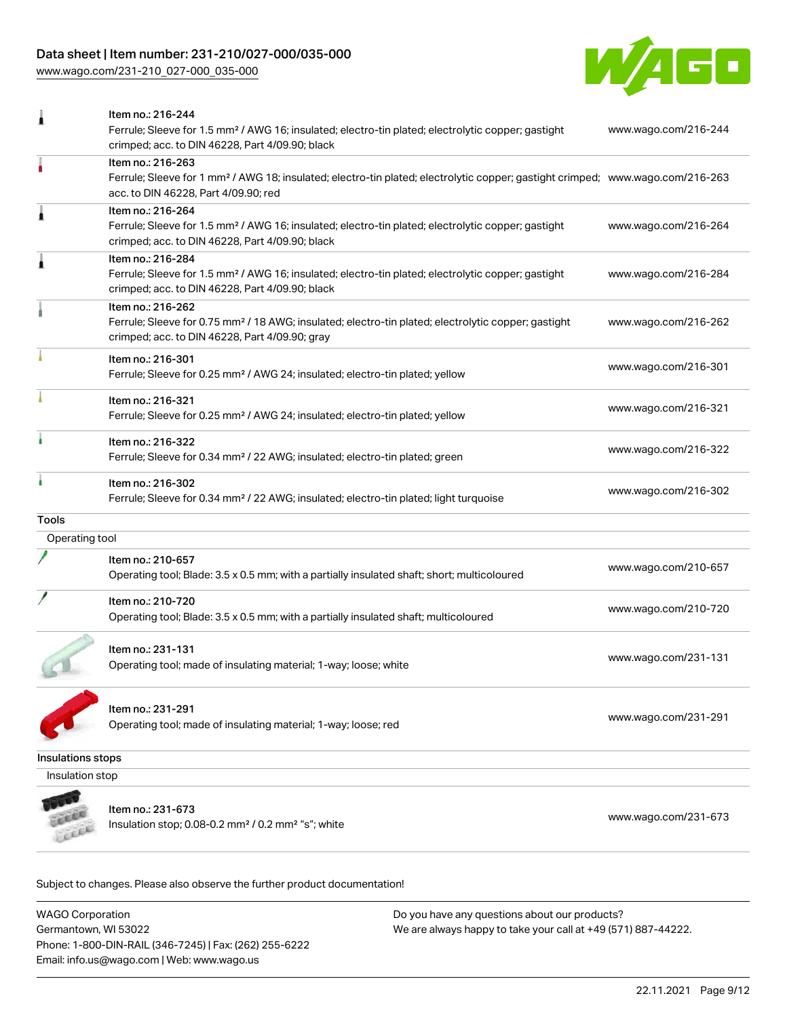## Data sheet | Item number: 231-210/027-000/035-000

[www.wago.com/231-210\\_027-000\\_035-000](http://www.wago.com/231-210_027-000_035-000)



| 1                        | Item no.: 216-244<br>Ferrule; Sleeve for 1.5 mm <sup>2</sup> / AWG 16; insulated; electro-tin plated; electrolytic copper; gastight<br>crimped; acc. to DIN 46228, Part 4/09.90; black                  | www.wago.com/216-244 |
|--------------------------|---------------------------------------------------------------------------------------------------------------------------------------------------------------------------------------------------------|----------------------|
|                          | Item no.: 216-263<br>Ferrule; Sleeve for 1 mm <sup>2</sup> / AWG 18; insulated; electro-tin plated; electrolytic copper; gastight crimped; www.wago.com/216-263<br>acc. to DIN 46228, Part 4/09.90; red |                      |
| Â                        | Item no.: 216-264<br>Ferrule; Sleeve for 1.5 mm <sup>2</sup> / AWG 16; insulated; electro-tin plated; electrolytic copper; gastight<br>crimped; acc. to DIN 46228, Part 4/09.90; black                  | www.wago.com/216-264 |
| Ă                        | Item no.: 216-284<br>Ferrule; Sleeve for 1.5 mm <sup>2</sup> / AWG 16; insulated; electro-tin plated; electrolytic copper; gastight<br>crimped; acc. to DIN 46228, Part 4/09.90; black                  | www.wago.com/216-284 |
|                          | Item no.: 216-262<br>Ferrule; Sleeve for 0.75 mm <sup>2</sup> / 18 AWG; insulated; electro-tin plated; electrolytic copper; gastight<br>crimped; acc. to DIN 46228, Part 4/09.90; gray                  | www.wago.com/216-262 |
|                          | Item no.: 216-301<br>Ferrule; Sleeve for 0.25 mm <sup>2</sup> / AWG 24; insulated; electro-tin plated; yellow                                                                                           | www.wago.com/216-301 |
|                          | Item no.: 216-321<br>Ferrule; Sleeve for 0.25 mm <sup>2</sup> / AWG 24; insulated; electro-tin plated; yellow                                                                                           | www.wago.com/216-321 |
| i                        | Item no.: 216-322<br>Ferrule; Sleeve for 0.34 mm <sup>2</sup> / 22 AWG; insulated; electro-tin plated; green                                                                                            | www.wago.com/216-322 |
|                          | Item no.: 216-302<br>Ferrule; Sleeve for 0.34 mm <sup>2</sup> / 22 AWG; insulated; electro-tin plated; light turquoise                                                                                  | www.wago.com/216-302 |
| <b>Tools</b>             |                                                                                                                                                                                                         |                      |
| Operating tool           |                                                                                                                                                                                                         |                      |
|                          | Item no.: 210-657<br>Operating tool; Blade: 3.5 x 0.5 mm; with a partially insulated shaft; short; multicoloured                                                                                        | www.wago.com/210-657 |
|                          | Item no.: 210-720<br>Operating tool; Blade: 3.5 x 0.5 mm; with a partially insulated shaft; multicoloured                                                                                               | www.wago.com/210-720 |
|                          | Item no.: 231-131<br>Operating tool; made of insulating material; 1-way; loose; white                                                                                                                   | www.wago.com/231-131 |
|                          | Item no.: 231-291<br>Operating tool; made of insulating material; 1-way; loose; red                                                                                                                     | www.wago.com/231-291 |
| <b>Insulations stops</b> |                                                                                                                                                                                                         |                      |
| Insulation stop          |                                                                                                                                                                                                         |                      |
|                          | Item no.: 231-673<br>Insulation stop; 0.08-0.2 mm <sup>2</sup> / 0.2 mm <sup>2</sup> "s"; white                                                                                                         | www.wago.com/231-673 |

Subject to changes. Please also observe the further product documentation!

WAGO Corporation Germantown, WI 53022 Phone: 1-800-DIN-RAIL (346-7245) | Fax: (262) 255-6222 Email: info.us@wago.com | Web: www.wago.us Do you have any questions about our products? We are always happy to take your call at +49 (571) 887-44222.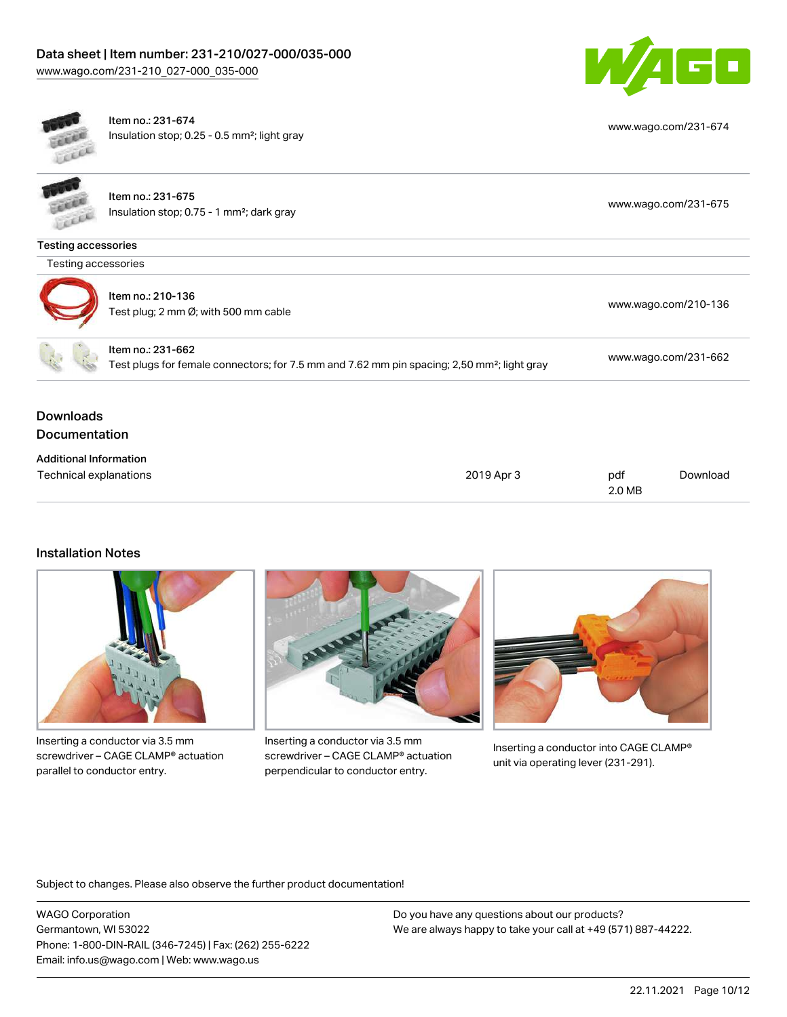



## Installation Notes



Inserting a conductor via 3.5 mm screwdriver – CAGE CLAMP® actuation parallel to conductor entry.



Inserting a conductor via 3.5 mm screwdriver – CAGE CLAMP® actuation perpendicular to conductor entry.



Inserting a conductor into CAGE CLAMP® unit via operating lever (231-291).

Subject to changes. Please also observe the further product documentation!

WAGO Corporation Germantown, WI 53022 Phone: 1-800-DIN-RAIL (346-7245) | Fax: (262) 255-6222 Email: info.us@wago.com | Web: www.wago.us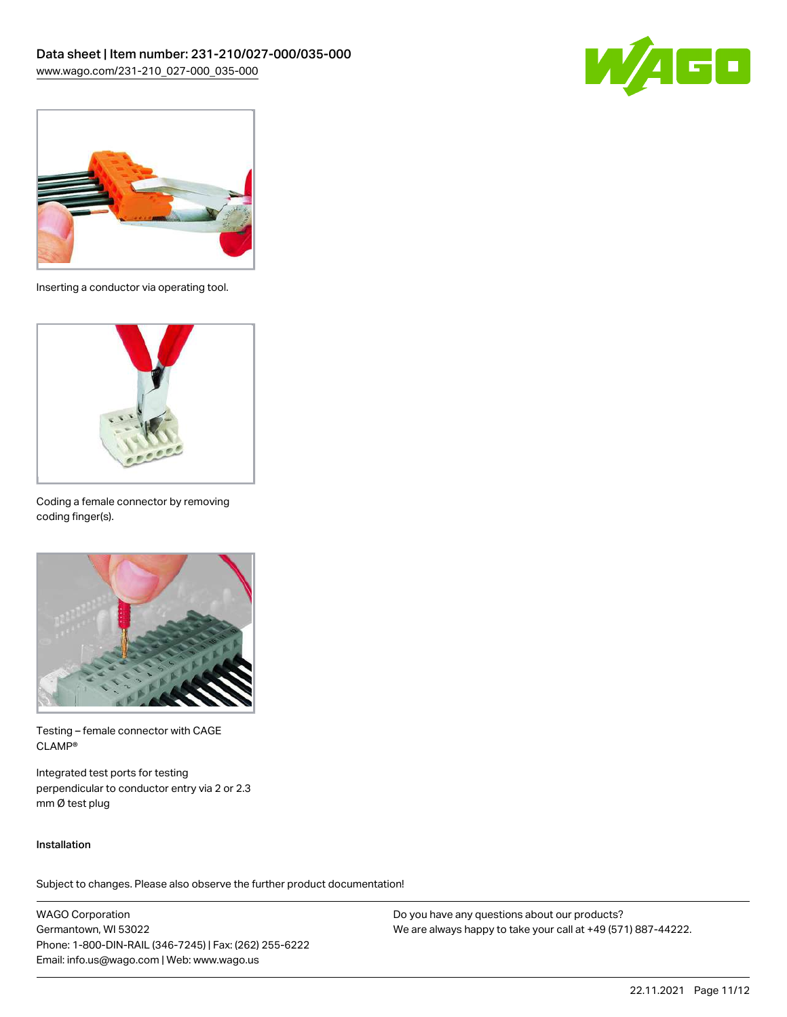



Inserting a conductor via operating tool.



Coding a female connector by removing coding finger(s).



Testing – female connector with CAGE CLAMP®

Integrated test ports for testing perpendicular to conductor entry via 2 or 2.3 mm Ø test plug

#### Installation

Subject to changes. Please also observe the further product documentation!

WAGO Corporation Germantown, WI 53022 Phone: 1-800-DIN-RAIL (346-7245) | Fax: (262) 255-6222 Email: info.us@wago.com | Web: www.wago.us